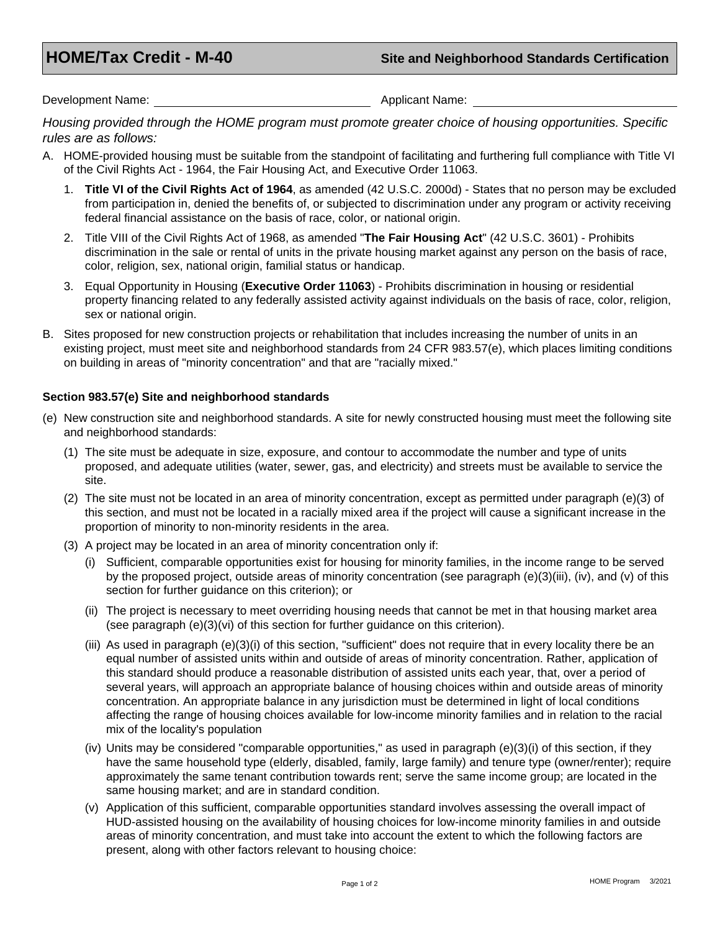Development Name: Applicant Name: Applicant Name: Applicant Name: Applicant Name: Applicant Name: Applicant Name: Applicant Name: Applicant Name: Applicant Name: Applicant Name: Applicant Name: Applicant Name: Applicant Na

*Housing provided through the HOME program must promote greater choice of housing opportunities. Specific rules are as follows:* 

- A. HOME-provided housing must be suitable from the standpoint of facilitating and furthering full compliance with Title VI of the Civil Rights Act - 1964, the Fair Housing Act, and Executive Order 11063.
	- 1. **Title VI of the Civil Rights Act of 1964**, as amended (42 U.S.C. 2000d) States that no person may be excluded from participation in, denied the benefits of, or subjected to discrimination under any program or activity receiving federal financial assistance on the basis of race, color, or national origin.
	- 2. Title VIII of the Civil Rights Act of 1968, as amended "**The Fair Housing Act**" (42 U.S.C. 3601) Prohibits discrimination in the sale or rental of units in the private housing market against any person on the basis of race, color, religion, sex, national origin, familial status or handicap.
	- 3. Equal Opportunity in Housing (**Executive Order 11063**) Prohibits discrimination in housing or residential property financing related to any federally assisted activity against individuals on the basis of race, color, religion, sex or national origin.
- B. Sites proposed for new construction projects or rehabilitation that includes increasing the number of units in an existing project, must meet site and neighborhood standards from 24 CFR 983.57(e), which places limiting conditions on building in areas of "minority concentration" and that are "racially mixed."

## **Section 983.57(e) Site and neighborhood standards**

- (e) New construction site and neighborhood standards. A site for newly constructed housing must meet the following site and neighborhood standards:
	- (1) The site must be adequate in size, exposure, and contour to accommodate the number and type of units proposed, and adequate utilities (water, sewer, gas, and electricity) and streets must be available to service the site.
	- (2) The site must not be located in an area of minority concentration, except as permitted under paragraph (e)(3) of this section, and must not be located in a racially mixed area if the project will cause a significant increase in the proportion of minority to non-minority residents in the area.
	- (3) A project may be located in an area of minority concentration only if:
		- (i) Sufficient, comparable opportunities exist for housing for minority families, in the income range to be served by the proposed project, outside areas of minority concentration (see paragraph (e)(3)(iii), (iv), and (v) of this section for further guidance on this criterion); or
		- (ii) The project is necessary to meet overriding housing needs that cannot be met in that housing market area (see paragraph (e)(3)(vi) of this section for further guidance on this criterion).
		- (iii) As used in paragraph (e)(3)(i) of this section, "sufficient" does not require that in every locality there be an equal number of assisted units within and outside of areas of minority concentration. Rather, application of this standard should produce a reasonable distribution of assisted units each year, that, over a period of several years, will approach an appropriate balance of housing choices within and outside areas of minority concentration. An appropriate balance in any jurisdiction must be determined in light of local conditions affecting the range of housing choices available for low-income minority families and in relation to the racial mix of the locality's population
		- (iv) Units may be considered "comparable opportunities," as used in paragraph (e)(3)(i) of this section, if they have the same household type (elderly, disabled, family, large family) and tenure type (owner/renter); require approximately the same tenant contribution towards rent; serve the same income group; are located in the same housing market; and are in standard condition.
		- (v) Application of this sufficient, comparable opportunities standard involves assessing the overall impact of HUD-assisted housing on the availability of housing choices for low-income minority families in and outside areas of minority concentration, and must take into account the extent to which the following factors are present, along with other factors relevant to housing choice: